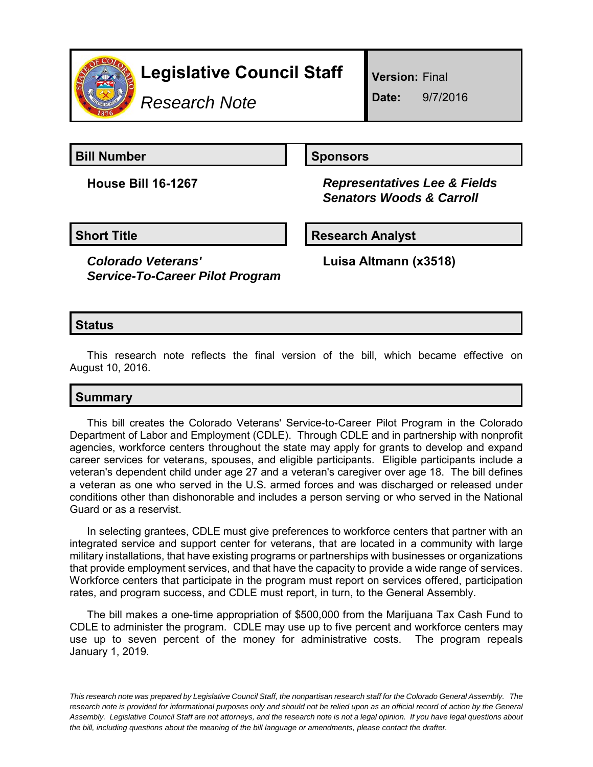

# **Legislative Council Staff**

*Research Note*

**Version:** Final

**Date:** 9/7/2016

**Bill Number Sponsors** 

**House Bill 16-1267** *Representatives Lee & Fields Senators Woods & Carroll*

**Short Title Community Community Community Research Analyst** 

*Colorado Veterans' Service-To-Career Pilot Program* **Luisa Altmann (x3518)**

## **Status**

This research note reflects the final version of the bill, which became effective on August 10, 2016.

## **Summary**

This bill creates the Colorado Veterans' Service-to-Career Pilot Program in the Colorado Department of Labor and Employment (CDLE). Through CDLE and in partnership with nonprofit agencies, workforce centers throughout the state may apply for grants to develop and expand career services for veterans, spouses, and eligible participants. Eligible participants include a veteran's dependent child under age 27 and a veteran's caregiver over age 18. The bill defines a veteran as one who served in the U.S. armed forces and was discharged or released under conditions other than dishonorable and includes a person serving or who served in the National Guard or as a reservist.

In selecting grantees, CDLE must give preferences to workforce centers that partner with an integrated service and support center for veterans, that are located in a community with large military installations, that have existing programs or partnerships with businesses or organizations that provide employment services, and that have the capacity to provide a wide range of services. Workforce centers that participate in the program must report on services offered, participation rates, and program success, and CDLE must report, in turn, to the General Assembly.

The bill makes a one-time appropriation of \$500,000 from the Marijuana Tax Cash Fund to CDLE to administer the program. CDLE may use up to five percent and workforce centers may use up to seven percent of the money for administrative costs. The program repeals January 1, 2019.

*This research note was prepared by Legislative Council Staff, the nonpartisan research staff for the Colorado General Assembly. The research note is provided for informational purposes only and should not be relied upon as an official record of action by the General Assembly. Legislative Council Staff are not attorneys, and the research note is not a legal opinion. If you have legal questions about the bill, including questions about the meaning of the bill language or amendments, please contact the drafter.*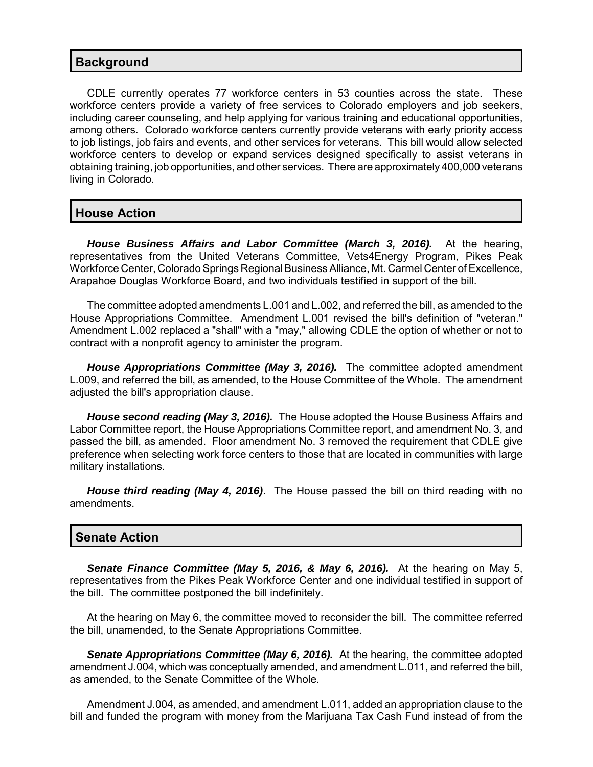#### **Background**

CDLE currently operates 77 workforce centers in 53 counties across the state. These workforce centers provide a variety of free services to Colorado employers and job seekers, including career counseling, and help applying for various training and educational opportunities, among others. Colorado workforce centers currently provide veterans with early priority access to job listings, job fairs and events, and other services for veterans. This bill would allow selected workforce centers to develop or expand services designed specifically to assist veterans in obtaining training, job opportunities, and other services. There are approximately 400,000 veterans living in Colorado.

#### **House Action**

*House Business Affairs and Labor Committee (March 3, 2016).* At the hearing, representatives from the United Veterans Committee, Vets4Energy Program, Pikes Peak Workforce Center, Colorado Springs Regional Business Alliance, Mt. Carmel Center of Excellence, Arapahoe Douglas Workforce Board, and two individuals testified in support of the bill.

The committee adopted amendments L.001 and L.002, and referred the bill, as amended to the House Appropriations Committee. Amendment L.001 revised the bill's definition of "veteran." Amendment L.002 replaced a "shall" with a "may," allowing CDLE the option of whether or not to contract with a nonprofit agency to aminister the program.

*House Appropriations Committee (May 3, 2016).* The committee adopted amendment L.009, and referred the bill, as amended, to the House Committee of the Whole. The amendment adjusted the bill's appropriation clause.

*House second reading (May 3, 2016).* The House adopted the House Business Affairs and Labor Committee report, the House Appropriations Committee report, and amendment No. 3, and passed the bill, as amended. Floor amendment No. 3 removed the requirement that CDLE give preference when selecting work force centers to those that are located in communities with large military installations.

*House third reading (May 4, 2016)*. The House passed the bill on third reading with no amendments.

### **Senate Action**

*Senate Finance Committee (May 5, 2016, & May 6, 2016).* At the hearing on May 5, representatives from the Pikes Peak Workforce Center and one individual testified in support of the bill. The committee postponed the bill indefinitely.

At the hearing on May 6, the committee moved to reconsider the bill. The committee referred the bill, unamended, to the Senate Appropriations Committee.

**Senate Appropriations Committee (May 6, 2016).** At the hearing, the committee adopted amendment J.004, which was conceptually amended, and amendment L.011, and referred the bill, as amended, to the Senate Committee of the Whole.

Amendment J.004, as amended, and amendment L.011, added an appropriation clause to the bill and funded the program with money from the Marijuana Tax Cash Fund instead of from the